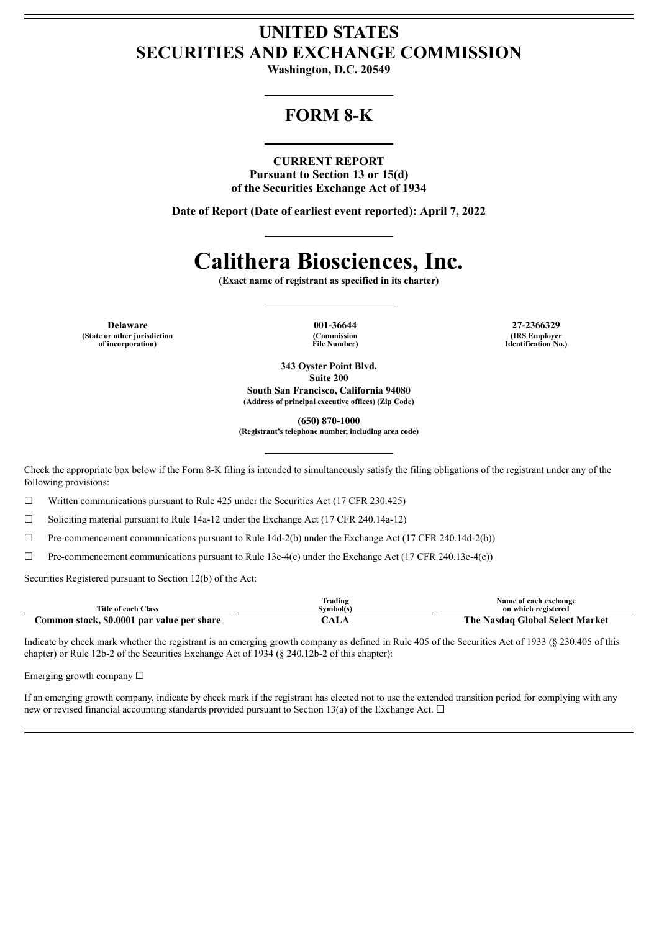# **UNITED STATES SECURITIES AND EXCHANGE COMMISSION**

**Washington, D.C. 20549**

## **FORM 8-K**

### **CURRENT REPORT**

**Pursuant to Section 13 or 15(d) of the Securities Exchange Act of 1934**

**Date of Report (Date of earliest event reported): April 7, 2022**

# **Calithera Biosciences, Inc.**

**(Exact name of registrant as specified in its charter)**

**Delaware 001-36644 27-2366329 (State or other jurisdiction of incorporation)**

**(Commission File Number)**

**(IRS Employer Identification No.)**

**343 Oyster Point Blvd. Suite 200 South San Francisco, California 94080 (Address of principal executive offices) (Zip Code)**

**(650) 870-1000**

**(Registrant's telephone number, including area code)**

Check the appropriate box below if the Form 8-K filing is intended to simultaneously satisfy the filing obligations of the registrant under any of the following provisions:

☐ Written communications pursuant to Rule 425 under the Securities Act (17 CFR 230.425)

 $\Box$  Soliciting material pursuant to Rule 14a-12 under the Exchange Act (17 CFR 240.14a-12)

 $\Box$  Pre-commencement communications pursuant to Rule 14d-2(b) under the Exchange Act (17 CFR 240.14d-2(b))

☐ Pre-commencement communications pursuant to Rule 13e-4(c) under the Exchange Act (17 CFR 240.13e-4(c))

Securities Registered pursuant to Section 12(b) of the Act:

| Title of each Class                        | Frading<br>Svmbol(s | Name of each exchange<br>on which registered |
|--------------------------------------------|---------------------|----------------------------------------------|
| Common stock, \$0.0001 par value per share | `ALA                | The Nasdaq Global Select Market              |

Indicate by check mark whether the registrant is an emerging growth company as defined in Rule 405 of the Securities Act of 1933 (§ 230.405 of this chapter) or Rule 12b-2 of the Securities Exchange Act of 1934 (§ 240.12b-2 of this chapter):

Emerging growth company  $\Box$ 

If an emerging growth company, indicate by check mark if the registrant has elected not to use the extended transition period for complying with any new or revised financial accounting standards provided pursuant to Section 13(a) of the Exchange Act.  $\Box$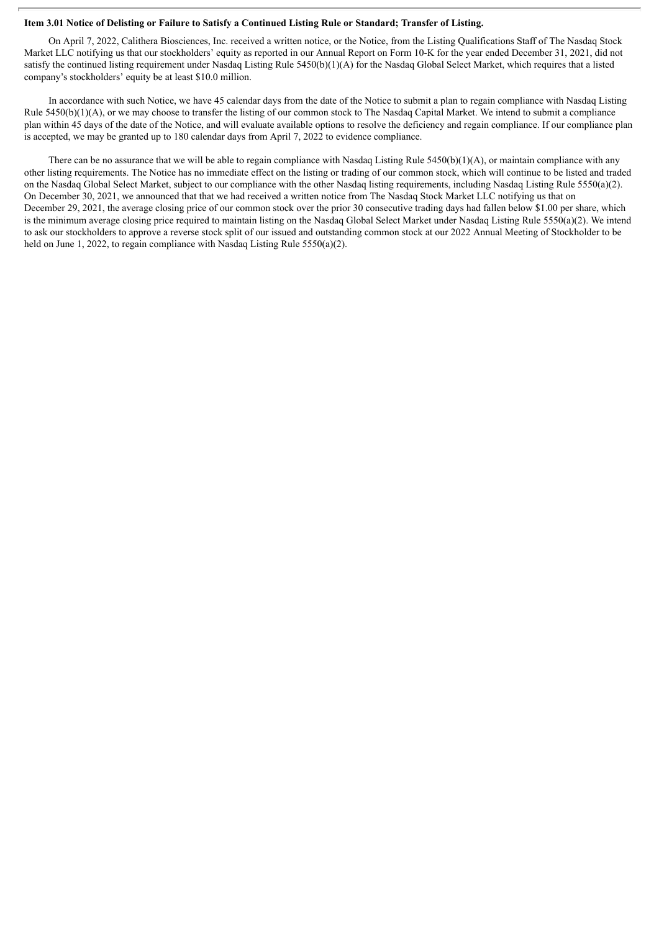#### Item 3.01 Notice of Delisting or Failure to Satisfy a Continued Listing Rule or Standard; Transfer of Listing.

On April 7, 2022, Calithera Biosciences, Inc. received a written notice, or the Notice, from the Listing Qualifications Staff of The Nasdaq Stock Market LLC notifying us that our stockholders' equity as reported in our Annual Report on Form 10-K for the year ended December 31, 2021, did not satisfy the continued listing requirement under Nasdaq Listing Rule 5450(b)(1)(A) for the Nasdaq Global Select Market, which requires that a listed company's stockholders' equity be at least \$10.0 million.

In accordance with such Notice, we have 45 calendar days from the date of the Notice to submit a plan to regain compliance with Nasdaq Listing Rule 5450(b)(1)(A), or we may choose to transfer the listing of our common stock to The Nasdaq Capital Market. We intend to submit a compliance plan within 45 days of the date of the Notice, and will evaluate available options to resolve the deficiency and regain compliance. If our compliance plan is accepted, we may be granted up to 180 calendar days from April 7, 2022 to evidence compliance.

There can be no assurance that we will be able to regain compliance with Nasdaq Listing Rule  $5450(b)(1)(A)$ , or maintain compliance with any other listing requirements. The Notice has no immediate effect on the listing or trading of our common stock, which will continue to be listed and traded on the Nasdaq Global Select Market, subject to our compliance with the other Nasdaq listing requirements, including Nasdaq Listing Rule 5550(a)(2). On December 30, 2021, we announced that that we had received a written notice from The Nasdaq Stock Market LLC notifying us that on December 29, 2021, the average closing price of our common stock over the prior 30 consecutive trading days had fallen below \$1.00 per share, which is the minimum average closing price required to maintain listing on the Nasdaq Global Select Market under Nasdaq Listing Rule 5550(a)(2). We intend to ask our stockholders to approve a reverse stock split of our issued and outstanding common stock at our 2022 Annual Meeting of Stockholder to be held on June 1, 2022, to regain compliance with Nasdaq Listing Rule 5550(a)(2).